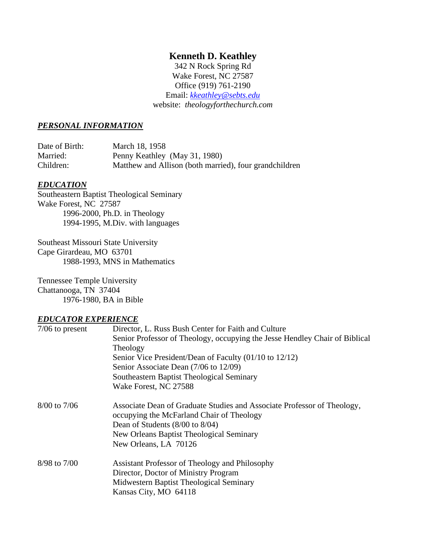## **Kenneth D. Keathley**

342 N Rock Spring Rd Wake Forest, NC 27587 Office (919) 761-2190 Email: *[kkeathley@sebts.edu](mailto:kkeathley@sebts.edu)* website: *theologyforthechurch.com*

#### *PERSONAL INFORMATION*

| Date of Birth: | March 18, 1958                                         |
|----------------|--------------------------------------------------------|
| Married:       | Penny Keathley (May 31, 1980)                          |
| Children:      | Matthew and Allison (both married), four grandchildren |

#### *EDUCATION*

Southeastern Baptist Theological Seminary Wake Forest, NC 27587 1996-2000, Ph.D. in Theology 1994-1995, M.Div. with languages

Southeast Missouri State University Cape Girardeau, MO 63701 1988-1993, MNS in Mathematics

Tennessee Temple University Chattanooga, TN 37404 1976-1980, BA in Bible

#### *EDUCATOR EXPERIENCE*

| $7/06$ to present | Director, L. Russ Bush Center for Faith and Culture                         |
|-------------------|-----------------------------------------------------------------------------|
|                   | Senior Professor of Theology, occupying the Jesse Hendley Chair of Biblical |
|                   | Theology                                                                    |
|                   | Senior Vice President/Dean of Faculty (01/10 to 12/12)                      |
|                   | Senior Associate Dean (7/06 to 12/09)                                       |
|                   | Southeastern Baptist Theological Seminary                                   |
|                   | Wake Forest, NC 27588                                                       |
| $8/00$ to $7/06$  | Associate Dean of Graduate Studies and Associate Professor of Theology,     |
|                   | occupying the McFarland Chair of Theology                                   |
|                   | Dean of Students $(8/00 \text{ to } 8/04)$                                  |
|                   | New Orleans Baptist Theological Seminary<br>New Orleans, LA 70126           |
|                   |                                                                             |
| 8/98 to 7/00      | Assistant Professor of Theology and Philosophy                              |
|                   | Director, Doctor of Ministry Program                                        |
|                   | Midwestern Baptist Theological Seminary                                     |
|                   | Kansas City, MO 64118                                                       |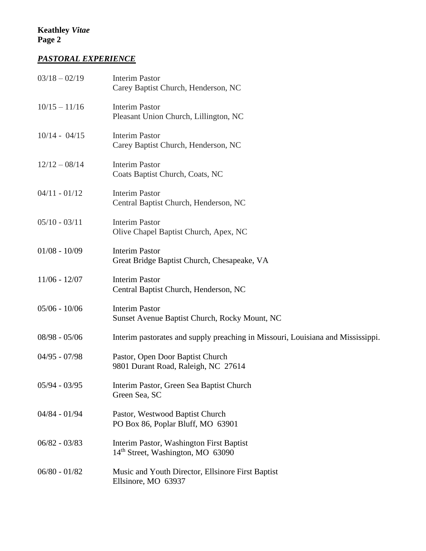# *PASTORAL EXPERIENCE*

| $03/18 - 02/19$ | <b>Interim Pastor</b><br>Carey Baptist Church, Henderson, NC                              |
|-----------------|-------------------------------------------------------------------------------------------|
| $10/15 - 11/16$ | <b>Interim Pastor</b><br>Pleasant Union Church, Lillington, NC                            |
| $10/14 - 04/15$ | <b>Interim Pastor</b><br>Carey Baptist Church, Henderson, NC                              |
| $12/12 - 08/14$ | <b>Interim Pastor</b><br>Coats Baptist Church, Coats, NC                                  |
| $04/11 - 01/12$ | <b>Interim Pastor</b><br>Central Baptist Church, Henderson, NC                            |
| $05/10 - 03/11$ | <b>Interim Pastor</b><br>Olive Chapel Baptist Church, Apex, NC                            |
| $01/08 - 10/09$ | <b>Interim Pastor</b><br>Great Bridge Baptist Church, Chesapeake, VA                      |
| $11/06 - 12/07$ | <b>Interim Pastor</b><br>Central Baptist Church, Henderson, NC                            |
| $05/06 - 10/06$ | <b>Interim Pastor</b><br>Sunset Avenue Baptist Church, Rocky Mount, NC                    |
| $08/98 - 05/06$ | Interim pastorates and supply preaching in Missouri, Louisiana and Mississippi.           |
| $04/95 - 07/98$ | Pastor, Open Door Baptist Church<br>9801 Durant Road, Raleigh, NC 27614                   |
| $05/94 - 03/95$ | Interim Pastor, Green Sea Baptist Church<br>Green Sea, SC                                 |
| $04/84 - 01/94$ | Pastor, Westwood Baptist Church<br>PO Box 86, Poplar Bluff, MO 63901                      |
| $06/82 - 03/83$ | Interim Pastor, Washington First Baptist<br>14 <sup>th</sup> Street, Washington, MO 63090 |
| $06/80 - 01/82$ | Music and Youth Director, Ellsinore First Baptist<br>Ellsinore, MO 63937                  |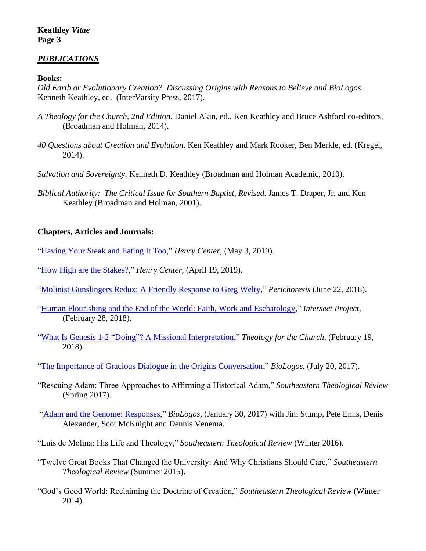#### *PUBLICATIONS*

**Books:**

*Old Earth or Evolutionary Creation? Discussing Origins with Reasons to Believe and BioLogos.*  Kenneth Keathley, ed. (InterVarsity Press, 2017).

- *A Theology for the Church, 2nd Edition*. Daniel Akin, ed., Ken Keathley and Bruce Ashford co-editors, (Broadman and Holman, 2014).
- *40 Questions about Creation and Evolution*. Ken Keathley and Mark Rooker, Ben Merkle, ed. (Kregel, 2014).
- *Salvation and Sovereignty*. Kenneth D. Keathley (Broadman and Holman Academic, 2010).
- *Biblical Authority: The Critical Issue for Southern Baptist, Revised.* James T. Draper, Jr. and Ken Keathley (Broadman and Holman, 2001).

#### **Chapters, Articles and Journals:**

- ["Having Your Steak and Eating It Too,](https://henrycenter.tiu.edu/2019/05/having-your-steak-and-eating-it-too/)" *Henry Center*, (May 3, 2019).
- ["How High are the Stakes?,](https://henrycenter.tiu.edu/2019/04/how-high-are-the-stakes/)" *Henry Center*, (April 19, 2019).
- ["Molinist Gunslingers Redux: A Friendly Response to Greg Welty,](https://content.sciendo.com/view/journals/perc/16/2/article-p31.xml)" *Perichoresis* (June 22, 2018).
- ["Human Flourishing and the End of the World: Faith, Work and Eschatology,](http://intersectproject.org/faith-and-work/human-flourishing-and-the-end-of-the-world/)" *Intersect Project*, (February 28, 2018).
- ["What Is Genesis 1-2 "Doing"? A Missional Interpretation,](http://www.theologyforthechurch.com/2018/02/19/what-is-genesis-1-2-doing-a-missional-interpretation/)" *Theology for the Church*, (February 19, 2018).
- ["The Importance of Gracious Dialogue in the Origins Conversation,](https://biologos.org/articles/series/old-earth-or-evolutionary-creation-a-new-book-shows-fruits-of-multi-year-dialogue/the-importance-of-gracious-dialogue-in-the-origins-conversation)" *BioLogos*, (July 20, 2017).
- "Rescuing Adam: Three Approaches to Affirming a Historical Adam," *Southeastern Theological Review* (Spring 2017).
- ["Adam and the Genome: Responses,](https://biologos.org/articles/adam-and-the-genome-responses)" *BioLogos*, (January 30, 2017) with Jim Stump, Pete Enns, Denis Alexander, Scot McKnight and Dennis Venema.
- "Luis de Molina: His Life and Theology," *Southeastern Theological Review* (Winter 2016).
- "Twelve Great Books That Changed the University: And Why Christians Should Care," *Southeastern Theological Review* (Summer 2015).
- "God's Good World: Reclaiming the Doctrine of Creation," *Southeastern Theological Review* (Winter 2014).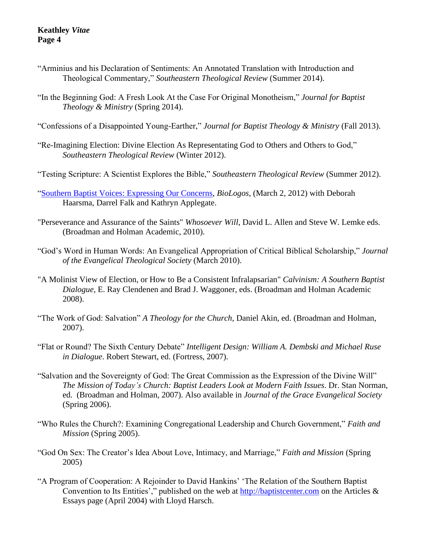- "Arminius and his Declaration of Sentiments: An Annotated Translation with Introduction and Theological Commentary," *Southeastern Theological Review* (Summer 2014).
- "In the Beginning God: A Fresh Look At the Case For Original Monotheism," *Journal for Baptist Theology & Ministry* (Spring 2014).
- "Confessions of a Disappointed Young-Earther," *Journal for Baptist Theology & Ministry* (Fall 2013).
- "Re-Imagining Election: Divine Election As Representating God to Others and Others to God," *Southeastern Theological Review* (Winter 2012).
- "Testing Scripture: A Scientist Explores the Bible," *Southeastern Theological Review* (Summer 2012).
- ["Southern Baptist Voices: Expressing Our Concerns,](https://biologos.org/articles/series/southern-baptist-voices/southern-baptist-voices-expressing-our-concerns) *BioLogos*, (March 2, 2012) with Deborah Haarsma, Darrel Falk and Kathryn Applegate.
- "Perseverance and Assurance of the Saints" *Whosoever Will*, David L. Allen and Steve W. Lemke eds. (Broadman and Holman Academic, 2010).
- "God's Word in Human Words: An Evangelical Appropriation of Critical Biblical Scholarship," *Journal of the Evangelical Theological Society* (March 2010).
- "A Molinist View of Election, or How to Be a Consistent Infralapsarian" *Calvinism: A Southern Baptist Dialogue,* E. Ray Clendenen and Brad J. Waggoner, eds. (Broadman and Holman Academic 2008).
- "The Work of God: Salvation" *A Theology for the Church*, Daniel Akin, ed. (Broadman and Holman, 2007).
- "Flat or Round? The Sixth Century Debate" *Intelligent Design: William A. Dembski and Michael Ruse in Dialogue*. Robert Stewart, ed. (Fortress, 2007).
- "Salvation and the Sovereignty of God: The Great Commission as the Expression of the Divine Will" *The Mission of Today's Church: Baptist Leaders Look at Modern Faith Issues*. Dr. Stan Norman, ed. (Broadman and Holman, 2007). Also available in *[Journal of the Grace Evangelical Society](http://www.faithalone.org/journal/index.html#Spring%202006)*  [\(Spring 2006\).](http://www.faithalone.org/journal/index.html#Spring%202006)
- "Who Rules the Church?: Examining Congregational Leadership and Church Government," *Faith and Mission* (Spring 2005).
- "God On Sex: The Creator's Idea About Love, Intimacy, and Marriage," *Faith and Mission* (Spring 2005)
- ["A Program of Cooperation: A Rejoinder to David Hankins' 'The Relation of the Southern Baptist](http://www.baptistcenter.com/Papers,%20etc/Articles%20and%20Essays/Harsch%20and%20Keathley%20-%20A%20Program%20of%20Cooperation.pdf)  [Convention to Its Entities',](http://www.baptistcenter.com/Papers,%20etc/Articles%20and%20Essays/Harsch%20and%20Keathley%20-%20A%20Program%20of%20Cooperation.pdf)" published on the web at [http://baptistcenter.com](http://baptistcenter.com/) on the Articles  $\&$ Essays page (April 2004) with Lloyd Harsch.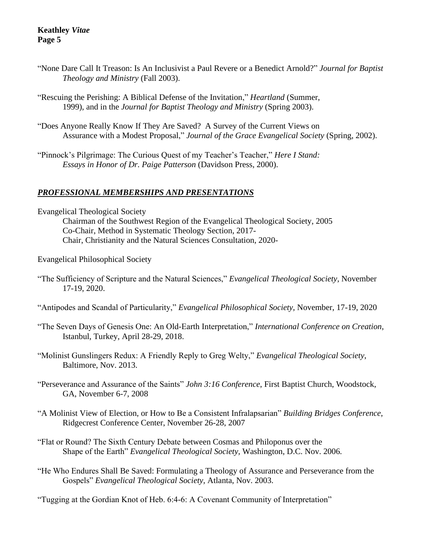- ["None Dare Call It Treason: Is An Inclusivist a Paul Revere or a Benedict Arnold?"](http://baptistcenter.com/Journal%20Articles/Spr%202004/08%20Corporate%20Inclucivism.pdf) *Journal for Baptist Theology and Ministry* (Fall 2003).
- ["Rescuing the Perishing: A Biblical Defense of the Invitation,](http://baptistcenter.com/Journal%20Articles/Spr%202003/02%20Rescuing%20the%20Perishing%20-%20Spr%202003.pdf)" *Heartland* (Summer, 1999), and in the *Journal for Baptist Theology and Ministry* (Spring 2003).
- "Does Anyone Really Know [If They Are Saved? A Survey of the Current Views on](http://www.faithalone.org/journal/2002i/keathley.pdf)  [Assurance with a Modest Proposal,](http://www.faithalone.org/journal/2002i/keathley.pdf)" *Journal of the Grace Evangelical Society* (Spring, 2002).
- "Pinnock's Pilgrimage: The Curious Quest of my Teacher's Teacher," *Here I Stand: Essays in Honor of Dr. Paige Patterson* (Davidson Press, 2000).

## *PROFESSIONAL MEMBERSHIPS AND PRESENTATIONS*

Evangelical Theological Society Chairman of the Southwest Region of the Evangelical Theological Society, 2005 Co-Chair, Method in Systematic Theology Section, 2017- Chair, Christianity and the Natural Sciences Consultation, 2020-

Evangelical Philosophical Society

- "The Sufficiency of Scripture and the Natural Sciences," *Evangelical Theological Society,* November 17-19, 2020.
- "Antipodes and Scandal of Particularity," *Evangelical Philosophical Society,* November, 17-19, 2020
- "The Seven Days of Genesis One: An Old-Earth Interpretation," *International Conference on Creation*, Istanbul, Turkey, April 28-29, 2018.
- "Molinist Gunslingers Redux: A Friendly Reply to Greg Welty," *Evangelical Theological Society*, Baltimore, Nov. 2013.
- "Perseverance and Assurance of the Saints" *John 3:16 Conference*, First Baptist Church, Woodstock, GA, November 6-7, 2008
- "A Molinist View of Election, or How to Be a Consistent Infralapsarian" *Building Bridges Conference*, Ridgecrest Conference Center, November 26-28, 2007
- "Flat or Round? The Sixth Century Debate between Cosmas and Philoponus over the Shape of the Earth" *Evangelical Theological Society,* Washington, D.C. Nov. 2006*.*
- "He Who Endures Shall Be Saved: Formulating a Theology of Assurance and Perseverance from the Gospels" *Evangelical Theological Society,* Atlanta, Nov. 2003.

"Tugging at the Gordian Knot of Heb. 6:4-6: A Covenant Community of Interpretation"